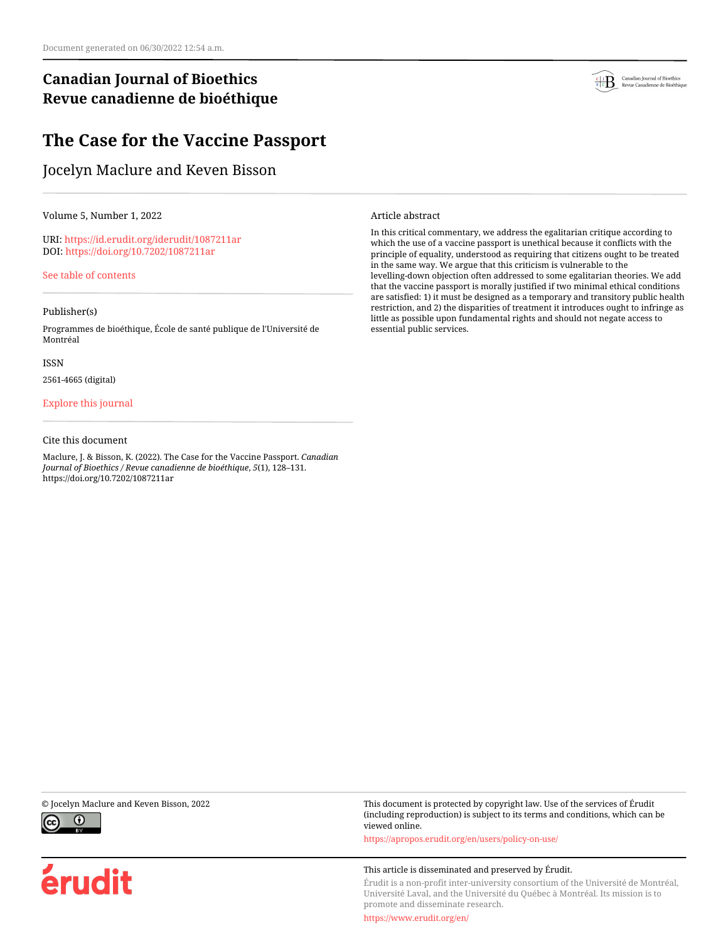# **Canadian Journal of Bioethics Revue canadienne de bioéthique**

# **The Case for the Vaccine Passport**

# Jocelyn Maclure and Keven Bisson

Volume 5, Number 1, 2022

URI:<https://id.erudit.org/iderudit/1087211ar> DOI:<https://doi.org/10.7202/1087211ar>

[See table of contents](https://www.erudit.org/en/journals/bioethics/2022-v5-n1-bioethics06848/)

### Publisher(s)

Programmes de bioéthique, École de santé publique de l'Université de Montréal

ISSN

2561-4665 (digital)

#### [Explore this journal](https://www.erudit.org/en/journals/bioethics/)

#### Cite this document

Maclure, J. & Bisson, K. (2022). The Case for the Vaccine Passport. *Canadian Journal of Bioethics / Revue canadienne de bioéthique*, *5*(1), 128–131. https://doi.org/10.7202/1087211ar



Article abstract

In this critical commentary, we address the egalitarian critique according to which the use of a vaccine passport is unethical because it conflicts with the principle of equality, understood as requiring that citizens ought to be treated in the same way. We argue that this criticism is vulnerable to the levelling-down objection often addressed to some egalitarian theories. We add that the vaccine passport is morally justified if two minimal ethical conditions are satisfied: 1) it must be designed as a temporary and transitory public health restriction, and 2) the disparities of treatment it introduces ought to infringe as little as possible upon fundamental rights and should not negate access to essential public services.



érudit

© Jocelyn Maclure and Keven Bisson, 2022 This document is protected by copyright law. Use of the services of Érudit (including reproduction) is subject to its terms and conditions, which can be viewed online.

<https://apropos.erudit.org/en/users/policy-on-use/>

#### This article is disseminated and preserved by Érudit.

Érudit is a non-profit inter-university consortium of the Université de Montréal, Université Laval, and the Université du Québec à Montréal. Its mission is to promote and disseminate research.

<https://www.erudit.org/en/>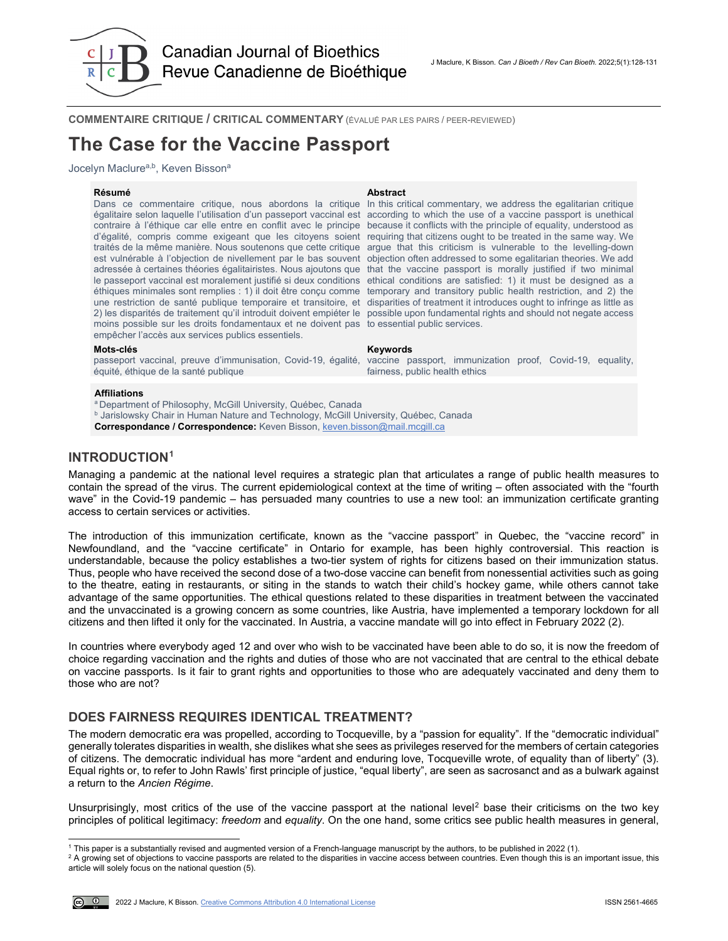

**COMMENTAIRE CRITIQUE / CRITICAL COMMENTARY** (ÉVALUÉ PAR LES PAIRS / PEER-REVIEWED)

# **The Case for the Vaccine Passport**

Jocelyn Maclure<sup>a,b</sup>, Keven Bisson<sup>a</sup>

**Résumé Abstract** Dans ce commentaire critique, nous abordons la critique In this critical commentary, we address the egalitarian critique égalitaire selon laquelle l'utilisation d'un passeport vaccinal est according to which the use of a vaccine passport is unethical contraire à l'éthique car elle entre en conflit avec le principe d'égalité, compris comme exigeant que les citoyens soient requiring that citizens ought to be treated in the same way. We traités de la même manière. Nous soutenons que cette critique argue that this criticism is vulnerable to the levelling-down est vulnérable à l'objection de nivellement par le bas souvent objection often addressed to some egalitarian theories. We add adressée à certaines théories égalitairistes. Nous ajoutons que le passeport vaccinal est moralement justifié si deux conditions ethical conditions are satisfied: 1) it must be designed as a éthiques minimales sont remplies : 1) il doit être conçu comme temporary and transitory public health restriction, and 2) the une restriction de santé publique temporaire et transitoire, et disparities of treatment it introduces ought to infringe as little as 2) les disparités de traitement qu'il introduit doivent empiéter le possible upon fundamental rights and should not negate access moins possible sur les droits fondamentaux et ne doivent pas to essential public services. empêcher l'accès aux services publics essentiels.

fairness, public health ethics

because it conflicts with the principle of equality, understood as that the vaccine passport is morally justified if two minimal

vaccine passport, immunization proof, Covid-19, equality,

#### **Mots-clés Keywords**

passeport vaccinal, preuve d'immunisation, Covid-19, égalité, équité, éthique de la santé publique

#### **Affiliations**

<sup>a</sup> Department of Philosophy, McGill University, Québec, Canada **b Jarislowsky Chair in Human Nature and Technology, McGill University, Québec, Canada Correspondance / Correspondence:** Keven Bisson[, keven.bisson@mail.mcgill.ca](mailto:keven.bisson@mail.mcgill.ca)

## **INTRODUCTION[1](#page-1-0)**

Managing a pandemic at the national level requires a strategic plan that articulates a range of public health measures to contain the spread of the virus. The current epidemiological context at the time of writing – often associated with the "fourth wave" in the Covid-19 pandemic – has persuaded many countries to use a new tool: an immunization certificate granting access to certain services or activities.

The introduction of this immunization certificate, known as the "vaccine passport" in Quebec, the "vaccine record" in Newfoundland, and the "vaccine certificate" in Ontario for example, has been highly controversial. This reaction is understandable, because the policy establishes a two-tier system of rights for citizens based on their immunization status. Thus, people who have received the second dose of a two-dose vaccine can benefit from nonessential activities such as going to the theatre, eating in restaurants, or siting in the stands to watch their child's hockey game, while others cannot take advantage of the same opportunities. The ethical questions related to these disparities in treatment between the vaccinated and the unvaccinated is a growing concern as some countries, like Austria, have implemented a temporary lockdown for all citizens and then lifted it only for the vaccinated. In Austria, a vaccine mandate will go into effect in February 2022 (2).

In countries where everybody aged 12 and over who wish to be vaccinated have been able to do so, it is now the freedom of choice regarding vaccination and the rights and duties of those who are not vaccinated that are central to the ethical debate on vaccine passports. Is it fair to grant rights and opportunities to those who are adequately vaccinated and deny them to those who are not?

## **DOES FAIRNESS REQUIRES IDENTICAL TREATMENT?**

The modern democratic era was propelled, according to Tocqueville, by a "passion for equality". If the "democratic individual" generally tolerates disparities in wealth, she dislikes what she sees as privileges reserved for the members of certain categories of citizens. The democratic individual has more "ardent and enduring love, Tocqueville wrote, of equality than of liberty" (3). Equal rights or, to refer to John Rawls' first principle of justice, "equal liberty", are seen as sacrosanct and as a bulwark against a return to the *Ancien Régime*.

Unsurprisingly, most critics of the use of the vaccine passport at the national level<sup>[2](#page-1-1)</sup> base their criticisms on the two key principles of political legitimacy: *freedom* and *equality*. On the one hand, some critics see public health measures in general,

<span id="page-1-1"></span><sup>&</sup>lt;sup>2</sup> A growing set of objections to vaccine passports are related to the disparities in vaccine access between countries. Even though this is an important issue, this article will solely focus on the national question (5).



j

<span id="page-1-0"></span><sup>1</sup> This paper is a substantially revised and augmented version of a French-language manuscript by the authors, to be published in 2022 (1).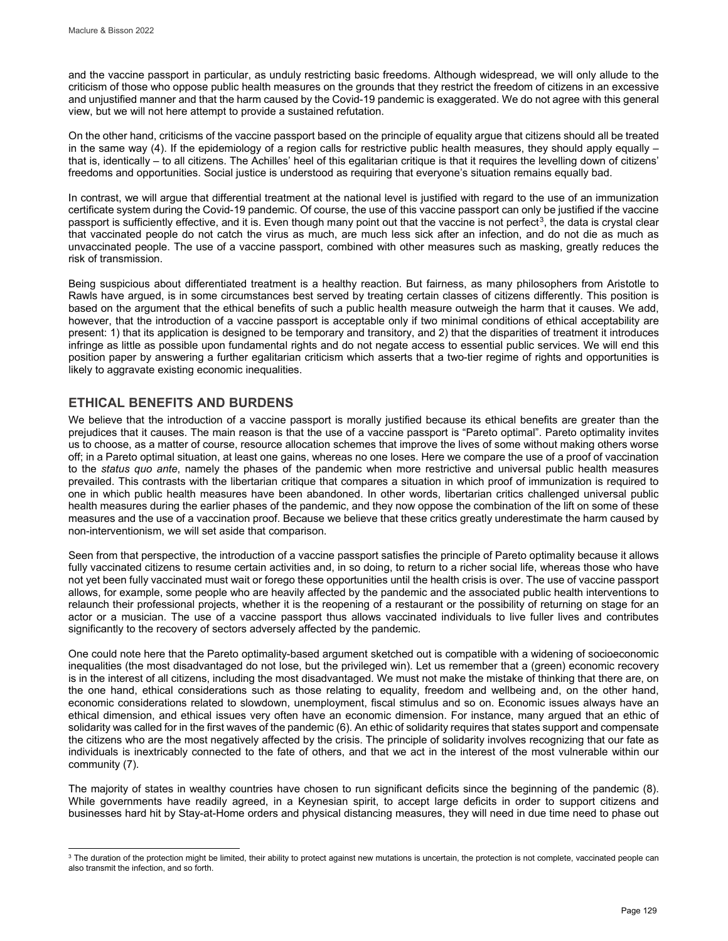and the vaccine passport in particular, as unduly restricting basic freedoms. Although widespread, we will only allude to the criticism of those who oppose public health measures on the grounds that they restrict the freedom of citizens in an excessive and unjustified manner and that the harm caused by the Covid-19 pandemic is exaggerated. We do not agree with this general view, but we will not here attempt to provide a sustained refutation.

On the other hand, criticisms of the vaccine passport based on the principle of equality argue that citizens should all be treated in the same way (4). If the epidemiology of a region calls for restrictive public health measures, they should apply equally that is, identically – to all citizens. The Achilles' heel of this egalitarian critique is that it requires the levelling down of citizens' freedoms and opportunities. Social justice is understood as requiring that everyone's situation remains equally bad.

In contrast, we will argue that differential treatment at the national level is justified with regard to the use of an immunization certificate system during the Covid-19 pandemic. Of course, the use of this vaccine passport can only be justified if the vaccine passport is sufficiently effective, and it is. Even though many point out that the vaccine is not perfect<sup>3</sup>, the data is crystal clear that vaccinated people do not catch the virus as much, are much less sick after an infection, and do not die as much as unvaccinated people. The use of a vaccine passport, combined with other measures such as masking, greatly reduces the risk of transmission.

Being suspicious about differentiated treatment is a healthy reaction. But fairness, as many philosophers from Aristotle to Rawls have argued, is in some circumstances best served by treating certain classes of citizens differently. This position is based on the argument that the ethical benefits of such a public health measure outweigh the harm that it causes. We add, however, that the introduction of a vaccine passport is acceptable only if two minimal conditions of ethical acceptability are present: 1) that its application is designed to be temporary and transitory, and 2) that the disparities of treatment it introduces infringe as little as possible upon fundamental rights and do not negate access to essential public services. We will end this position paper by answering a further egalitarian criticism which asserts that a two-tier regime of rights and opportunities is likely to aggravate existing economic inequalities.

# **ETHICAL BENEFITS AND BURDENS**

We believe that the introduction of a vaccine passport is morally justified because its ethical benefits are greater than the prejudices that it causes. The main reason is that the use of a vaccine passport is "Pareto optimal". Pareto optimality invites us to choose, as a matter of course, resource allocation schemes that improve the lives of some without making others worse off; in a Pareto optimal situation, at least one gains, whereas no one loses. Here we compare the use of a proof of vaccination to the *status quo ante*, namely the phases of the pandemic when more restrictive and universal public health measures prevailed. This contrasts with the libertarian critique that compares a situation in which proof of immunization is required to one in which public health measures have been abandoned. In other words, libertarian critics challenged universal public health measures during the earlier phases of the pandemic, and they now oppose the combination of the lift on some of these measures and the use of a vaccination proof. Because we believe that these critics greatly underestimate the harm caused by non-interventionism, we will set aside that comparison.

Seen from that perspective, the introduction of a vaccine passport satisfies the principle of Pareto optimality because it allows fully vaccinated citizens to resume certain activities and, in so doing, to return to a richer social life, whereas those who have not yet been fully vaccinated must wait or forego these opportunities until the health crisis is over. The use of vaccine passport allows, for example, some people who are heavily affected by the pandemic and the associated public health interventions to relaunch their professional projects, whether it is the reopening of a restaurant or the possibility of returning on stage for an actor or a musician. The use of a vaccine passport thus allows vaccinated individuals to live fuller lives and contributes significantly to the recovery of sectors adversely affected by the pandemic.

One could note here that the Pareto optimality-based argument sketched out is compatible with a widening of socioeconomic inequalities (the most disadvantaged do not lose, but the privileged win). Let us remember that a (green) economic recovery is in the interest of all citizens, including the most disadvantaged. We must not make the mistake of thinking that there are, on the one hand, ethical considerations such as those relating to equality, freedom and wellbeing and, on the other hand, economic considerations related to slowdown, unemployment, fiscal stimulus and so on. Economic issues always have an ethical dimension, and ethical issues very often have an economic dimension. For instance, many argued that an ethic of solidarity was called for in the first waves of the pandemic (6). An ethic of solidarity requires that states support and compensate the citizens who are the most negatively affected by the crisis. The principle of solidarity involves recognizing that our fate as individuals is inextricably connected to the fate of others, and that we act in the interest of the most vulnerable within our community (7).

The majority of states in wealthy countries have chosen to run significant deficits since the beginning of the pandemic (8). While governments have readily agreed, in a Keynesian spirit, to accept large deficits in order to support citizens and businesses hard hit by Stay-at-Home orders and physical distancing measures, they will need in due time need to phase out

<span id="page-2-0"></span>l  $^3$  The duration of the protection might be limited, their ability to protect against new mutations is uncertain, the protection is not complete, vaccinated people can also transmit the infection, and so forth.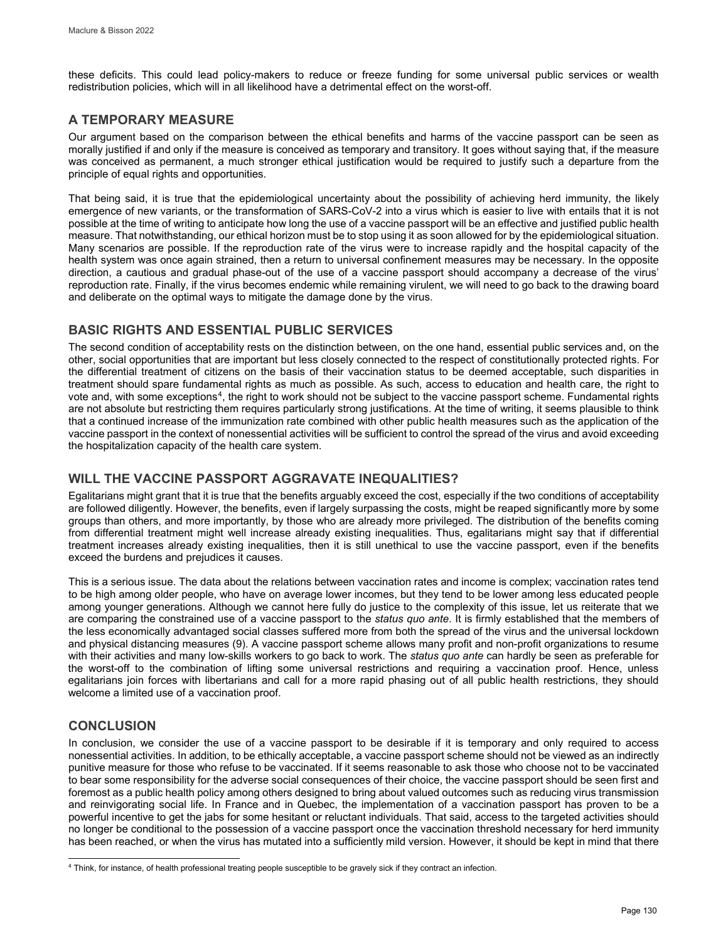these deficits. This could lead policy-makers to reduce or freeze funding for some universal public services or wealth redistribution policies, which will in all likelihood have a detrimental effect on the worst-off.

## **A TEMPORARY MEASURE**

Our argument based on the comparison between the ethical benefits and harms of the vaccine passport can be seen as morally justified if and only if the measure is conceived as temporary and transitory. It goes without saying that, if the measure was conceived as permanent, a much stronger ethical justification would be required to justify such a departure from the principle of equal rights and opportunities.

That being said, it is true that the epidemiological uncertainty about the possibility of achieving herd immunity, the likely emergence of new variants, or the transformation of SARS-CoV-2 into a virus which is easier to live with entails that it is not possible at the time of writing to anticipate how long the use of a vaccine passport will be an effective and justified public health measure. That notwithstanding, our ethical horizon must be to stop using it as soon allowed for by the epidemiological situation. Many scenarios are possible. If the reproduction rate of the virus were to increase rapidly and the hospital capacity of the health system was once again strained, then a return to universal confinement measures may be necessary. In the opposite direction, a cautious and gradual phase-out of the use of a vaccine passport should accompany a decrease of the virus' reproduction rate. Finally, if the virus becomes endemic while remaining virulent, we will need to go back to the drawing board and deliberate on the optimal ways to mitigate the damage done by the virus.

# **BASIC RIGHTS AND ESSENTIAL PUBLIC SERVICES**

The second condition of acceptability rests on the distinction between, on the one hand, essential public services and, on the other, social opportunities that are important but less closely connected to the respect of constitutionally protected rights. For the differential treatment of citizens on the basis of their vaccination status to be deemed acceptable, such disparities in treatment should spare fundamental rights as much as possible. As such, access to education and health care, the right to vote and, with some exceptions<sup>4</sup>, the right to work should not be subject to the vaccine passport scheme. Fundamental rights are not absolute but restricting them requires particularly strong justifications. At the time of writing, it seems plausible to think that a continued increase of the immunization rate combined with other public health measures such as the application of the vaccine passport in the context of nonessential activities will be sufficient to control the spread of the virus and avoid exceeding the hospitalization capacity of the health care system.

# **WILL THE VACCINE PASSPORT AGGRAVATE INEQUALITIES?**

Egalitarians might grant that it is true that the benefits arguably exceed the cost, especially if the two conditions of acceptability are followed diligently. However, the benefits, even if largely surpassing the costs, might be reaped significantly more by some groups than others, and more importantly, by those who are already more privileged. The distribution of the benefits coming from differential treatment might well increase already existing inequalities. Thus, egalitarians might say that if differential treatment increases already existing inequalities, then it is still unethical to use the vaccine passport, even if the benefits exceed the burdens and prejudices it causes.

This is a serious issue. The data about the relations between vaccination rates and income is complex; vaccination rates tend to be high among older people, who have on average lower incomes, but they tend to be lower among less educated people among younger generations. Although we cannot here fully do justice to the complexity of this issue, let us reiterate that we are comparing the constrained use of a vaccine passport to the *status quo ante*. It is firmly established that the members of the less economically advantaged social classes suffered more from both the spread of the virus and the universal lockdown and physical distancing measures (9). A vaccine passport scheme allows many profit and non-profit organizations to resume with their activities and many low-skills workers to go back to work. The *status quo ante* can hardly be seen as preferable for the worst-off to the combination of lifting some universal restrictions and requiring a vaccination proof. Hence, unless egalitarians join forces with libertarians and call for a more rapid phasing out of all public health restrictions, they should welcome a limited use of a vaccination proof.

# **CONCLUSION**

In conclusion, we consider the use of a vaccine passport to be desirable if it is temporary and only required to access nonessential activities. In addition, to be ethically acceptable, a vaccine passport scheme should not be viewed as an indirectly punitive measure for those who refuse to be vaccinated. If it seems reasonable to ask those who choose not to be vaccinated to bear some responsibility for the adverse social consequences of their choice, the vaccine passport should be seen first and foremost as a public health policy among others designed to bring about valued outcomes such as reducing virus transmission and reinvigorating social life. In France and in Quebec, the implementation of a vaccination passport has proven to be a powerful incentive to get the jabs for some hesitant or reluctant individuals. That said, access to the targeted activities should no longer be conditional to the possession of a vaccine passport once the vaccination threshold necessary for herd immunity has been reached, or when the virus has mutated into a sufficiently mild version. However, it should be kept in mind that there

<span id="page-3-0"></span>j <sup>4</sup> Think, for instance, of health professional treating people susceptible to be gravely sick if they contract an infection.